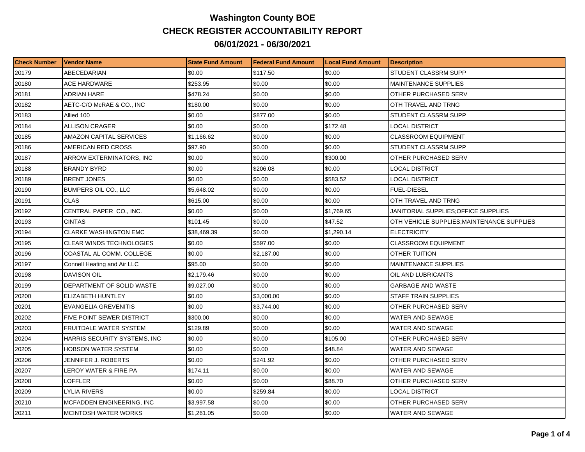## **Washington County BOE CHECK REGISTER ACCOUNTABILITY REPORT 06/01/2021 - 06/30/2021**

| <b>Check Number</b> | Vendor Name                     | <b>State Fund Amount</b> | Federal Fund Amount | <b>ILocal Fund Amount</b> | <b>Description</b>                         |
|---------------------|---------------------------------|--------------------------|---------------------|---------------------------|--------------------------------------------|
| 20179               | ABECEDARIAN                     | \$0.00                   | \$117.50            | \$0.00                    | STUDENT CLASSRM SUPP                       |
| 20180               | <b>ACE HARDWARE</b>             | \$253.95                 | \$0.00              | \$0.00                    | <b>MAINTENANCE SUPPLIES</b>                |
| 20181               | ADRIAN HARE                     | \$478.24                 | \$0.00              | \$0.00                    | OTHER PURCHASED SERV                       |
| 20182               | AETC-C/O McRAE & CO., INC       | \$180.00                 | \$0.00              | \$0.00                    | OTH TRAVEL AND TRNG                        |
| 20183               | Allied 100                      | \$0.00                   | \$877.00            | \$0.00                    | STUDENT CLASSRM SUPP                       |
| 20184               | <b>ALLISON CRAGER</b>           | \$0.00                   | \$0.00              | \$172.48                  | LOCAL DISTRICT                             |
| 20185               | <b>AMAZON CAPITAL SERVICES</b>  | \$1.166.62               | \$0.00              | \$0.00                    | <b>CLASSROOM EQUIPMENT</b>                 |
| 20186               | AMERICAN RED CROSS              | \$97.90                  | \$0.00              | \$0.00                    | STUDENT CLASSRM SUPP                       |
| 20187               | ARROW EXTERMINATORS, INC        | \$0.00                   | \$0.00              | \$300.00                  | OTHER PURCHASED SERV                       |
| 20188               | <b>BRANDY BYRD</b>              | \$0.00                   | \$206.08            | \$0.00                    | LOCAL DISTRICT                             |
| 20189               | <b>BRENT JONES</b>              | \$0.00                   | \$0.00              | \$583.52                  | LOCAL DISTRICT                             |
| 20190               | BUMPERS OIL CO., LLC            | \$5,648.02               | \$0.00              | \$0.00                    | <b>FUEL-DIESEL</b>                         |
| 20191               | <b>CLAS</b>                     | \$615.00                 | \$0.00              | \$0.00                    | OTH TRAVEL AND TRNG                        |
| 20192               | CENTRAL PAPER CO., INC.         | \$0.00                   | \$0.00              | \$1,769.65                | JANITORIAL SUPPLIES;OFFICE SUPPLIES        |
| 20193               | <b>CINTAS</b>                   | \$101.45                 | \$0.00              | \$47.52                   | OTH VEHICLE SUPPLIES; MAINTENANCE SUPPLIES |
| 20194               | <b>CLARKE WASHINGTON EMC</b>    | \$38,469.39              | \$0.00              | \$1,290.14                | <b>ELECTRICITY</b>                         |
| 20195               | <b>CLEAR WINDS TECHNOLOGIES</b> | \$0.00                   | \$597.00            | \$0.00                    | <b>CLASSROOM EQUIPMENT</b>                 |
| 20196               | COASTAL AL COMM. COLLEGE        | \$0.00                   | \$2,187.00          | \$0.00                    | <b>OTHER TUITION</b>                       |
| 20197               | Connell Heating and Air LLC     | \$95.00                  | \$0.00              | \$0.00                    | <b>MAINTENANCE SUPPLIES</b>                |
| 20198               | <b>DAVISON OIL</b>              | \$2,179.46               | \$0.00              | \$0.00                    | OIL AND LUBRICANTS                         |
| 20199               | DEPARTMENT OF SOLID WASTE       | \$9,027.00               | \$0.00              | \$0.00                    | <b>GARBAGE AND WASTE</b>                   |
| 20200               | ELIZABETH HUNTLEY               | \$0.00                   | \$3,000.00          | \$0.00                    | <b>STAFF TRAIN SUPPLIES</b>                |
| 20201               | EVANGELIA GREVENITIS            | \$0.00                   | \$3,744.00          | \$0.00                    | OTHER PURCHASED SERV                       |
| 20202               | FIVE POINT SEWER DISTRICT       | \$300.00                 | \$0.00              | \$0.00                    | WATER AND SEWAGE                           |
| 20203               | <b>FRUITDALE WATER SYSTEM</b>   | \$129.89                 | \$0.00              | \$0.00                    | <b>WATER AND SEWAGE</b>                    |
| 20204               | HARRIS SECURITY SYSTEMS, INC    | \$0.00                   | \$0.00              | \$105.00                  | OTHER PURCHASED SERV                       |
| 20205               | HOBSON WATER SYSTEM             | \$0.00                   | \$0.00              | \$48.84                   | WATER AND SEWAGE                           |
| 20206               | JENNIFER J. ROBERTS             | \$0.00                   | \$241.92            | \$0.00                    | OTHER PURCHASED SERV                       |
| 20207               | LEROY WATER & FIRE PA           | \$174.11                 | \$0.00              | \$0.00                    | WATER AND SEWAGE                           |
| 20208               | LOFFLER                         | \$0.00                   | \$0.00              | \$88.70                   | OTHER PURCHASED SERV                       |
| 20209               | LYLIA RIVERS                    | \$0.00                   | \$259.84            | \$0.00                    | LOCAL DISTRICT                             |
| 20210               | MCFADDEN ENGINEERING, INC       | \$3,997.58               | \$0.00              | \$0.00                    | OTHER PURCHASED SERV                       |
| 20211               | MCINTOSH WATER WORKS            | \$1,261.05               | \$0.00              | \$0.00                    | WATER AND SEWAGE                           |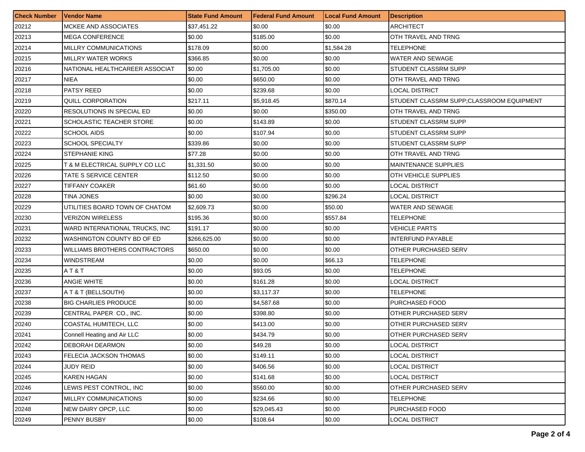| <b>Check Number</b> | <b>Vendor Name</b>             | <b>State Fund Amount</b> | <b>Federal Fund Amount</b> | <b>Local Fund Amount</b> | Description                              |
|---------------------|--------------------------------|--------------------------|----------------------------|--------------------------|------------------------------------------|
| 20212               | MCKEE AND ASSOCIATES           | \$37,451.22              | \$0.00                     | \$0.00                   | <b>ARCHITECT</b>                         |
| 20213               | <b>MEGA CONFERENCE</b>         | \$0.00                   | \$185.00                   | \$0.00                   | OTH TRAVEL AND TRNG                      |
| 20214               | MILLRY COMMUNICATIONS          | \$178.09                 | \$0.00                     | \$1,584.28               | TELEPHONE                                |
| 20215               | <b>MILLRY WATER WORKS</b>      | \$366.85                 | \$0.00                     | \$0.00                   | WATER AND SEWAGE                         |
| 20216               | NATIONAL HEALTHCAREER ASSOCIAT | \$0.00                   | \$1,705.00                 | \$0.00                   | STUDENT CLASSRM SUPP                     |
| 20217               | NIEA                           | \$0.00                   | \$650.00                   | \$0.00                   | OTH TRAVEL AND TRNG                      |
| 20218               | <b>PATSY REED</b>              | \$0.00                   | \$239.68                   | \$0.00                   | LOCAL DISTRICT                           |
| 20219               | QUILL CORPORATION              | \$217.11                 | \$5,918.45                 | \$870.14                 | STUDENT CLASSRM SUPP;CLASSROOM EQUIPMENT |
| 20220               | RESOLUTIONS IN SPECIAL ED      | \$0.00                   | \$0.00                     | \$350.00                 | OTH TRAVEL AND TRNG                      |
| 20221               | SCHOLASTIC TEACHER STORE       | \$0.00                   | \$143.89                   | \$0.00                   | STUDENT CLASSRM SUPP                     |
| 20222               | SCHOOL AIDS                    | \$0.00                   | \$107.94                   | \$0.00                   | STUDENT CLASSRM SUPP                     |
| 20223               | <b>SCHOOL SPECIALTY</b>        | \$339.86                 | \$0.00                     | \$0.00                   | STUDENT CLASSRM SUPP                     |
| 20224               | <b>STEPHANIE KING</b>          | \$77.28                  | \$0.00                     | \$0.00                   | OTH TRAVEL AND TRNG                      |
| 20225               | T & M ELECTRICAL SUPPLY CO LLC | \$1,331.50               | \$0.00                     | \$0.00                   | <b>MAINTENANCE SUPPLIES</b>              |
| 20226               | TATE S SERVICE CENTER          | \$112.50                 | \$0.00                     | \$0.00                   | OTH VEHICLE SUPPLIES                     |
| 20227               | TIFFANY COAKER                 | \$61.60                  | \$0.00                     | \$0.00                   | LOCAL DISTRICT                           |
| 20228               | TINA JONES                     | \$0.00                   | \$0.00                     | \$296.24                 | LOCAL DISTRICT                           |
| 20229               | UTILITIES BOARD TOWN OF CHATOM | \$2,609.73               | \$0.00                     | \$50.00                  | WATER AND SEWAGE                         |
| 20230               | VERIZON WIRELESS               | \$195.36                 | \$0.00                     | \$557.84                 | TELEPHONE                                |
| 20231               | WARD INTERNATIONAL TRUCKS, INC | \$191.17                 | \$0.00                     | \$0.00                   | VEHICLE PARTS                            |
| 20232               | WASHINGTON COUNTY BD OF ED     | \$266,625.00             | \$0.00                     | \$0.00                   | <b>INTERFUND PAYABLE</b>                 |
| 20233               | WILLIAMS BROTHERS CONTRACTORS  | \$650.00                 | \$0.00                     | \$0.00                   | OTHER PURCHASED SERV                     |
| 20234               | WINDSTREAM                     | \$0.00                   | \$0.00                     | \$66.13                  | TELEPHONE                                |
| 20235               | AT&T                           | \$0.00                   | \$93.05                    | \$0.00                   | TELEPHONE                                |
| 20236               | <b>ANGIE WHITE</b>             | \$0.00                   | \$161.28                   | \$0.00                   | LOCAL DISTRICT                           |
| 20237               | A T & T (BELLSOUTH)            | \$0.00                   | \$3,117.37                 | \$0.00                   | TELEPHONE                                |
| 20238               | <b>BIG CHARLIES PRODUCE</b>    | \$0.00                   | \$4,587.68                 | \$0.00                   | PURCHASED FOOD                           |
| 20239               | CENTRAL PAPER CO., INC.        | \$0.00                   | \$398.80                   | \$0.00                   | <b>OTHER PURCHASED SERV</b>              |
| 20240               | COASTAL HUMITECH, LLC          | \$0.00                   | \$413.00                   | \$0.00                   | OTHER PURCHASED SERV                     |
| 20241               | Connell Heating and Air LLC    | \$0.00                   | \$434.79                   | \$0.00                   | OTHER PURCHASED SERV                     |
| 20242               | <b>DEBORAH DEARMON</b>         | \$0.00                   | \$49.28                    | \$0.00                   | <b>LOCAL DISTRICT</b>                    |
| 20243               | FELECIA JACKSON THOMAS         | \$0.00                   | \$149.11                   | \$0.00                   | <b>LOCAL DISTRICT</b>                    |
| 20244               | <b>JUDY REID</b>               | \$0.00                   | \$406.56                   | \$0.00                   | <b>LOCAL DISTRICT</b>                    |
| 20245               | KAREN HAGAN                    | \$0.00                   | \$141.68                   | \$0.00                   | LOCAL DISTRICT                           |
| 20246               | LEWIS PEST CONTROL. INC        | \$0.00                   | \$560.00                   | \$0.00                   | <b>OTHER PURCHASED SERV</b>              |
| 20247               | MILLRY COMMUNICATIONS          | \$0.00                   | \$234.66                   | \$0.00                   | TELEPHONE                                |
| 20248               | NEW DAIRY OPCP, LLC            | \$0.00                   | \$29,045.43                | \$0.00                   | PURCHASED FOOD                           |
| 20249               | PENNY BUSBY                    | \$0.00                   | \$108.64                   | \$0.00                   | <b>LOCAL DISTRICT</b>                    |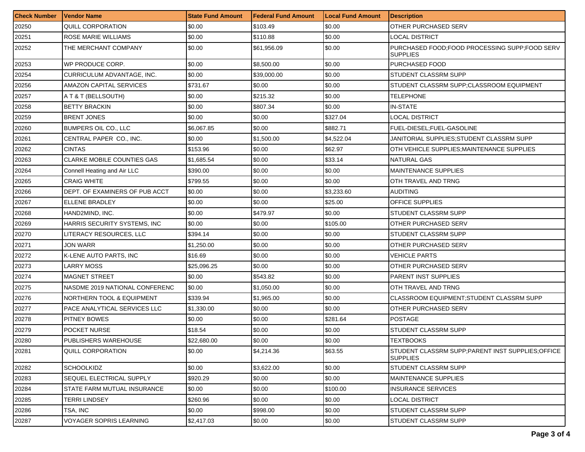| <b>Check Number</b> | <b>Vendor Name</b>                   | <b>State Fund Amount</b> | Federal Fund Amount | <b>Local Fund Amount</b> | <b>Description</b>                                                  |
|---------------------|--------------------------------------|--------------------------|---------------------|--------------------------|---------------------------------------------------------------------|
| 20250               | <b>QUILL CORPORATION</b>             | \$0.00                   | \$103.49            | \$0.00                   | <b>OTHER PURCHASED SERV</b>                                         |
| 20251               | ROSE MARIE WILLIAMS                  | \$0.00                   | \$110.88            | \$0.00                   | <b>LOCAL DISTRICT</b>                                               |
| 20252               | THE MERCHANT COMPANY                 | \$0.00                   | \$61,956.09         | \$0.00                   | PURCHASED FOOD;FOOD PROCESSING SUPP;FOOD SERV<br><b>SUPPLIES</b>    |
| 20253               | WP PRODUCE CORP.                     | \$0.00                   | \$8,500.00          | \$0.00                   | <b>PURCHASED FOOD</b>                                               |
| 20254               | CURRICULUM ADVANTAGE, INC.           | \$0.00                   | \$39,000.00         | \$0.00                   | STUDENT CLASSRM SUPP                                                |
| 20256               | AMAZON CAPITAL SERVICES              | \$731.67                 | \$0.00              | \$0.00                   | STUDENT CLASSRM SUPP;CLASSROOM EQUIPMENT                            |
| 20257               | A T & T (BELLSOUTH)                  | \$0.00                   | \$215.32            | \$0.00                   | TELEPHONE                                                           |
| 20258               | <b>BETTY BRACKIN</b>                 | \$0.00                   | \$807.34            | \$0.00                   | <b>IN-STATE</b>                                                     |
| 20259               | <b>BRENT JONES</b>                   | \$0.00                   | \$0.00              | \$327.04                 | LOCAL DISTRICT                                                      |
| 20260               | <b>BUMPERS OIL CO., LLC</b>          | \$6,067.85               | \$0.00              | \$882.71                 | FUEL-DIESEL;FUEL-GASOLINE                                           |
| 20261               | CENTRAL PAPER CO., INC.              | \$0.00                   | \$1,500.00          | \$4,522.04               | JANITORIAL SUPPLIES:STUDENT CLASSRM SUPP                            |
| 20262               | <b>CINTAS</b>                        | \$153.96                 | \$0.00              | \$62.97                  | OTH VEHICLE SUPPLIES;MAINTENANCE SUPPLIES                           |
| 20263               | <b>CLARKE MOBILE COUNTIES GAS</b>    | \$1,685.54               | \$0.00              | \$33.14                  | <b>NATURAL GAS</b>                                                  |
| 20264               | Connell Heating and Air LLC          | \$390.00                 | \$0.00              | \$0.00                   | <b>MAINTENANCE SUPPLIES</b>                                         |
| 20265               | <b>CRAIG WHITE</b>                   | \$799.55                 | \$0.00              | \$0.00                   | OTH TRAVEL AND TRNG                                                 |
| 20266               | DEPT. OF EXAMINERS OF PUB ACCT       | \$0.00                   | \$0.00              | \$3,233.60               | <b>AUDITING</b>                                                     |
| 20267               | ELLENE BRADLEY                       | \$0.00                   | \$0.00              | \$25.00                  | <b>OFFICE SUPPLIES</b>                                              |
| 20268               | HAND2MIND, INC.                      | \$0.00                   | \$479.97            | \$0.00                   | STUDENT CLASSRM SUPP                                                |
| 20269               | HARRIS SECURITY SYSTEMS, INC         | \$0.00                   | \$0.00              | \$105.00                 | OTHER PURCHASED SERV                                                |
| 20270               | LITERACY RESOURCES, LLC              | \$394.14                 | \$0.00              | \$0.00                   | <b>STUDENT CLASSRM SUPP</b>                                         |
| 20271               | JON WARR                             | \$1,250.00               | \$0.00              | \$0.00                   | OTHER PURCHASED SERV                                                |
| 20272               | K-LENE AUTO PARTS, INC               | \$16.69                  | \$0.00              | \$0.00                   | <b>VEHICLE PARTS</b>                                                |
| 20273               | LARRY MOSS                           | \$25,096.25              | \$0.00              | \$0.00                   | OTHER PURCHASED SERV                                                |
| 20274               | <b>MAGNET STREET</b>                 | \$0.00                   | \$543.82            | \$0.00                   | PARENT INST SUPPLIES                                                |
| 20275               | NASDME 2019 NATIONAL CONFERENC       | \$0.00                   | \$1,050.00          | \$0.00                   | OTH TRAVEL AND TRNG                                                 |
| 20276               | <b>NORTHERN TOOL &amp; EQUIPMENT</b> | \$339.94                 | \$1,965.00          | \$0.00                   | CLASSROOM EQUIPMENT;STUDENT CLASSRM SUPP                            |
| 20277               | PACE ANALYTICAL SERVICES LLC         | \$1,330.00               | \$0.00              | \$0.00                   | OTHER PURCHASED SERV                                                |
| 20278               | PITNEY BOWES                         | \$0.00                   | \$0.00              | \$281.64                 | POSTAGE                                                             |
| 20279               | POCKET NURSE                         | \$18.54                  | \$0.00              | \$0.00                   | STUDENT CLASSRM SUPP                                                |
| 20280               | PUBLISHERS WAREHOUSE                 | \$22,680.00              | \$0.00              | \$0.00                   | <b>TEXTBOOKS</b>                                                    |
| 20281               | <b>QUILL CORPORATION</b>             | \$0.00                   | \$4,214.36          | \$63.55                  | STUDENT CLASSRM SUPP:PARENT INST SUPPLIES:OFFICE<br><b>SUPPLIES</b> |
| 20282               | <b>SCHOOLKIDZ</b>                    | \$0.00                   | \$3,622.00          | \$0.00                   | STUDENT CLASSRM SUPP                                                |
| 20283               | SEQUEL ELECTRICAL SUPPLY             | \$920.29                 | \$0.00              | \$0.00                   | <b>MAINTENANCE SUPPLIES</b>                                         |
| 20284               | STATE FARM MUTUAL INSURANCE          | \$0.00                   | \$0.00              | \$100.00                 | <b>INSURANCE SERVICES</b>                                           |
| 20285               | TERRI LINDSEY                        | \$260.96                 | \$0.00              | \$0.00                   | LOCAL DISTRICT                                                      |
| 20286               | TSA, INC                             | \$0.00                   | \$998.00            | \$0.00                   | <b>STUDENT CLASSRM SUPP</b>                                         |
| 20287               | <b>VOYAGER SOPRIS LEARNING</b>       | \$2,417.03               | \$0.00              | \$0.00                   | <b>STUDENT CLASSRM SUPP</b>                                         |